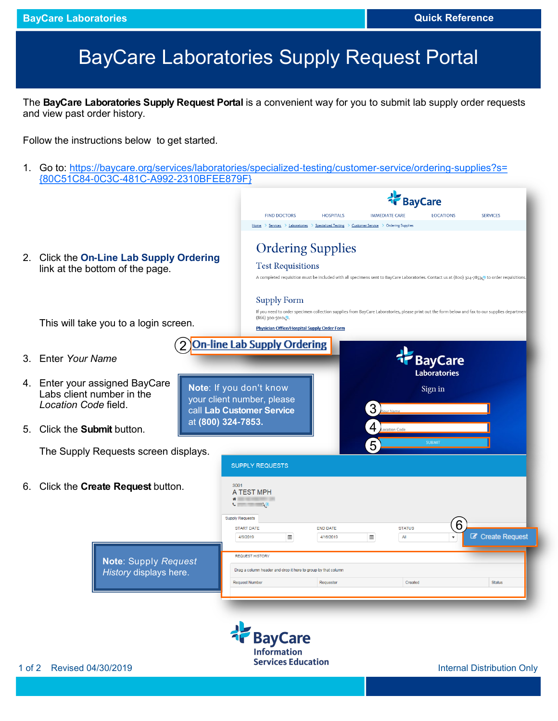## BayCare Laboratories Supply Request Portal

The **BayCare Laboratories Supply Request Portal** is a convenient way for you to submit lab supply order requests and view past order history.

Follow the instructions below to get started.

1. Go to: [https://baycare.org/services/laboratories/specialized-testing/customer-service/ordering-supplies?s=](https://baycare.org/services/laboratories/specialized-testing/customer-service/ordering-supplies?s=%7b80C51C84-0C3C-481C-A992-2310BFEE879F%7d) [{80C51C84-0C3C-481C-A992-2310BFEE879F}](https://baycare.org/services/laboratories/specialized-testing/customer-service/ordering-supplies?s=%7b80C51C84-0C3C-481C-A992-2310BFEE879F%7d)